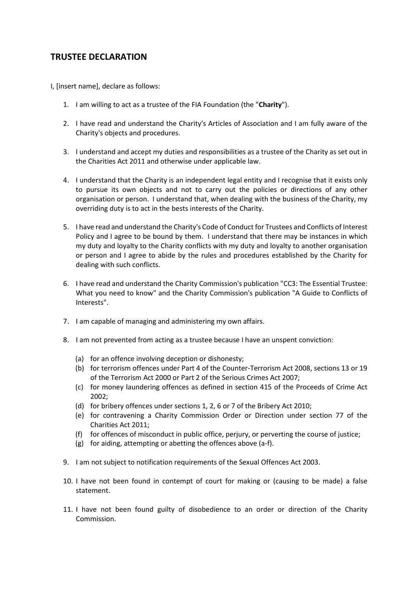## **TRUSTEE DECLARATION**

I, [insert name], declare as follows:

- 1. I am willing to act as a trustee of the FIA Foundation (the "**Charity**").
- 2. I have read and understand the Charity's Articles of Association and I am fully aware of the Charity's objects and procedures.
- 3. I understand and accept my duties and responsibilities as a trustee of the Charity as set out in the Charities Act 2011 and otherwise under applicable law.
- 4. I understand that the Charity is an independent legal entity and I recognise that it exists only to pursue its own objects and not to carry out the policies or directions of any other organisation or person. I understand that, when dealing with the business of the Charity, my overriding duty is to act in the bests interests of the Charity.
- 5. I have read and understand the Charity's Code of Conduct for Trustees and Conflicts of Interest Policy and I agree to be bound by them. I understand that there may be instances in which my duty and loyalty to the Charity conflicts with my duty and loyalty to another organisation or person and I agree to abide by the rules and procedures established by the Charity for dealing with such conflicts.
- 6. I have read and understand the Charity Commission's publication "CC3: The Essential Trustee: What you need to know" and the Charity Commission's publication "A Guide to Conflicts of Interests".
- 7. I am capable of managing and administering my own affairs.
- 8. I am not prevented from acting as a trustee because I have an unspent conviction:
	- (a) for an offence involving deception or dishonesty;
	- (b) for terrorism offences under Part 4 of the Counter-Terrorism Act 2008, sections 13 or 19 of the Terrorism Act 2000 or Part 2 of the Serious Crimes Act 2007;
	- (c) for money laundering offences as defined in section 415 of the Proceeds of Crime Act 2002;
	- (d) for bribery offences under sections 1, 2, 6 or 7 of the Bribery Act 2010;
	- (e) for contravening a Charity Commission Order or Direction under section 77 of the Charities Act 2011;
	- (f) for offences of misconduct in public office, perjury, or perverting the course of justice;
	- (g) for aiding, attempting or abetting the offences above (a-f).
- 9. I am not subject to notification requirements of the Sexual Offences Act 2003.
- 10. I have not been found in contempt of court for making or (causing to be made) a false statement.
- 11. I have not been found guilty of disobedience to an order or direction of the Charity Commission.